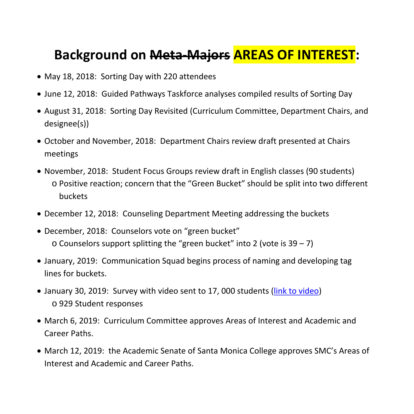## **Background on Meta-Majors AREAS OF INTEREST:**

- May 18, 2018: Sorting Day with 220 attendees
- June 12, 2018: Guided Pathways Taskforce analyses compiled results of Sorting Day
- August 31, 2018: Sorting Day Revisited (Curriculum Committee, Department Chairs, and designee(s))
- October and November, 2018: Department Chairs review draft presented at Chairs meetings
- November, 2018: Student Focus Groups review draft in English classes (90 students) o Positive reaction; concern that the "Green Bucket" should be split into two different buckets
- December 12, 2018: Counseling Department Meeting addressing the buckets
- December, 2018: Counselors vote on "green bucket"  $\circ$  Counselors support splitting the "green bucket" into 2 (vote is 39 – 7)
- January, 2019: Communication Squad begins process of naming and developing tag lines for buckets.
- January 30, 2019: Survey with video sent to 17, 000 students [\(link to video\)](https://youtu.be/3tyFlZpRXn8) o 929 Student responses
- March 6, 2019: Curriculum Committee approves Areas of Interest and Academic and Career Paths.
- March 12, 2019: the Academic Senate of Santa Monica College approves SMC's Areas of Interest and Academic and Career Paths.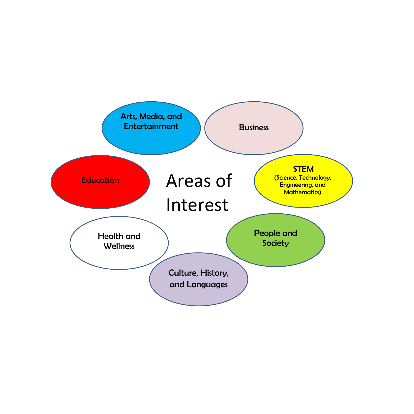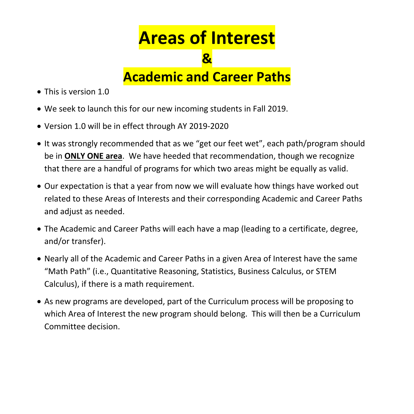## **Areas of Interest &**

**Academic and Career Paths**

- This is version 1.0
- We seek to launch this for our new incoming students in Fall 2019.
- Version 1.0 will be in effect through AY 2019-2020
- It was strongly recommended that as we "get our feet wet", each path/program should be in **ONLY ONE area**. We have heeded that recommendation, though we recognize that there are a handful of programs for which two areas might be equally as valid.
- Our expectation is that a year from now we will evaluate how things have worked out related to these Areas of Interests and their corresponding Academic and Career Paths and adjust as needed.
- The Academic and Career Paths will each have a map (leading to a certificate, degree, and/or transfer).
- Nearly all of the Academic and Career Paths in a given Area of Interest have the same "Math Path" (i.e., Quantitative Reasoning, Statistics, Business Calculus, or STEM Calculus), if there is a math requirement.
- As new programs are developed, part of the Curriculum process will be proposing to which Area of Interest the new program should belong. This will then be a Curriculum Committee decision.